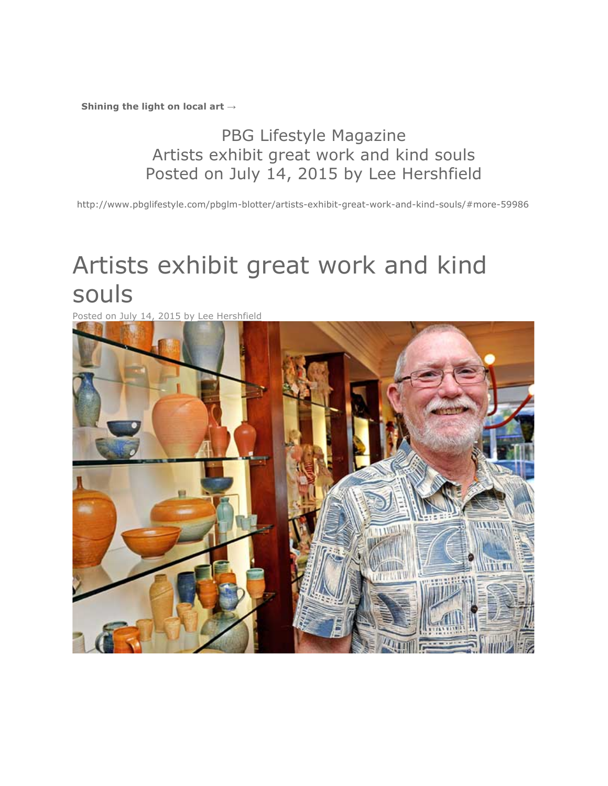**Shining the light on local art →**

## PBG Lifestyle Magazine Artists exhibit great work and kind souls Posted on July 14, 2015 by Lee Hershfield

http://www.pbglifestyle.com/pbglm-blotter/artists-exhibit-great-work-and-kind-souls/#more-59986

## Artists exhibit great work and kind souls

Posted on July 14, 2015 by Lee Hershfield